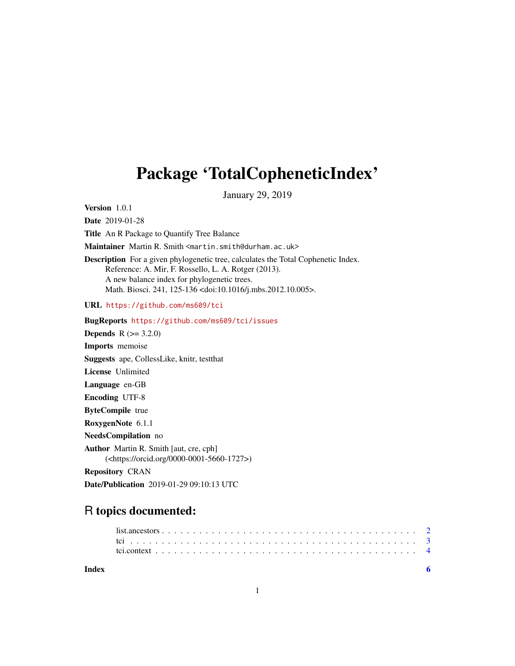## <span id="page-0-0"></span>Package 'TotalCopheneticIndex'

January 29, 2019

Version 1.0.1

Date 2019-01-28

Title An R Package to Quantify Tree Balance

Maintainer Martin R. Smith <martin.smith@durham.ac.uk>

Description For a given phylogenetic tree, calculates the Total Cophenetic Index. Reference: A. Mir, F. Rossello, L. A. Rotger (2013). A new balance index for phylogenetic trees. Math. Biosci. 241, 125-136 <doi:10.1016/j.mbs.2012.10.005>.

URL <https://github.com/ms609/tci>

BugReports <https://github.com/ms609/tci/issues>

**Depends** R  $(>= 3.2.0)$ Imports memoise Suggests ape, CollessLike, knitr, testthat License Unlimited Language en-GB Encoding UTF-8 ByteCompile true RoxygenNote 6.1.1 NeedsCompilation no Author Martin R. Smith [aut, cre, cph] (<https://orcid.org/0000-0001-5660-1727>) Repository CRAN

Date/Publication 2019-01-29 09:10:13 UTC

### R topics documented:

| Index |  |  |  |  |  |  |  |  |  |  |  |  |  |  |  |  |  |  |  |  |  |
|-------|--|--|--|--|--|--|--|--|--|--|--|--|--|--|--|--|--|--|--|--|--|
|       |  |  |  |  |  |  |  |  |  |  |  |  |  |  |  |  |  |  |  |  |  |
|       |  |  |  |  |  |  |  |  |  |  |  |  |  |  |  |  |  |  |  |  |  |

1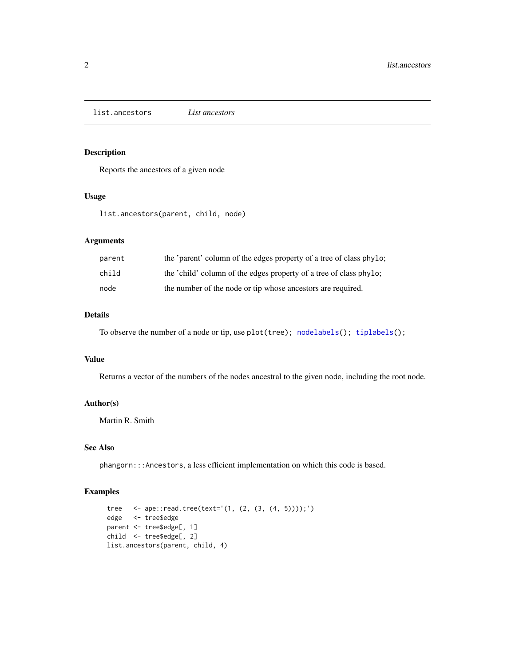<span id="page-1-0"></span>list.ancestors *List ancestors*

#### Description

Reports the ancestors of a given node

#### Usage

list.ancestors(parent, child, node)

#### Arguments

| parent | the 'parent' column of the edges property of a tree of class phylo; |
|--------|---------------------------------------------------------------------|
| child  | the 'child' column of the edges property of a tree of class phylo;  |
| node   | the number of the node or tip whose ancestors are required.         |

#### Details

To observe the number of a node or tip, use plot(tree); [nodelabels\(](#page-0-0)); [tiplabels\(](#page-0-0));

#### Value

Returns a vector of the numbers of the nodes ancestral to the given node, including the root node.

#### Author(s)

Martin R. Smith

#### See Also

phangorn:::Ancestors, a less efficient implementation on which this code is based.

#### Examples

```
tree <- ape::read.tree(text='(1, (2, (3, (4, 5))));')
edge <- tree$edge
parent <- tree$edge[, 1]
child <- tree$edge[, 2]
list.ancestors(parent, child, 4)
```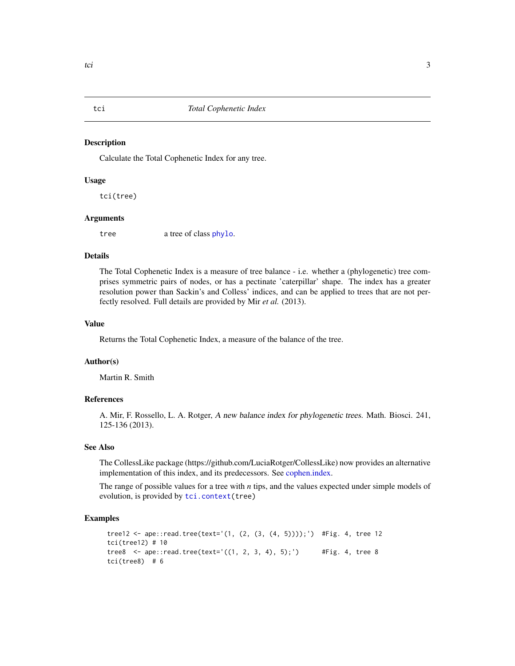<span id="page-2-1"></span><span id="page-2-0"></span>

#### Description

Calculate the Total Cophenetic Index for any tree.

#### Usage

tci(tree)

#### Arguments

tree a tree of class [phylo](#page-0-0).

#### Details

The Total Cophenetic Index is a measure of tree balance - i.e. whether a (phylogenetic) tree comprises symmetric pairs of nodes, or has a pectinate 'caterpillar' shape. The index has a greater resolution power than Sackin's and Colless' indices, and can be applied to trees that are not perfectly resolved. Full details are provided by Mir *et al.* (2013).

#### Value

Returns the Total Cophenetic Index, a measure of the balance of the tree.

#### Author(s)

Martin R. Smith

#### References

A. Mir, F. Rossello, L. A. Rotger, A new balance index for phylogenetic trees. Math. Biosci. 241, 125-136 (2013).

#### See Also

The CollessLike package (https://github.com/LuciaRotger/CollessLike) now provides an alternative implementation of this index, and its predecessors. See [cophen.index.](#page-0-0)

The range of possible values for a tree with *n* tips, and the values expected under simple models of evolution, is provided by [tci.context\(](#page-3-1)tree)

#### Examples

```
tree12 <- ape::read.tree(text='(1, (2, (3, (4, 5))));') #Fig. 4, tree 12
tci(tree12) # 10
tree8 \leq ape::read.tree(text='((1, 2, 3, 4), 5);') #Fig. 4, tree 8
tci(tree8) # 6
```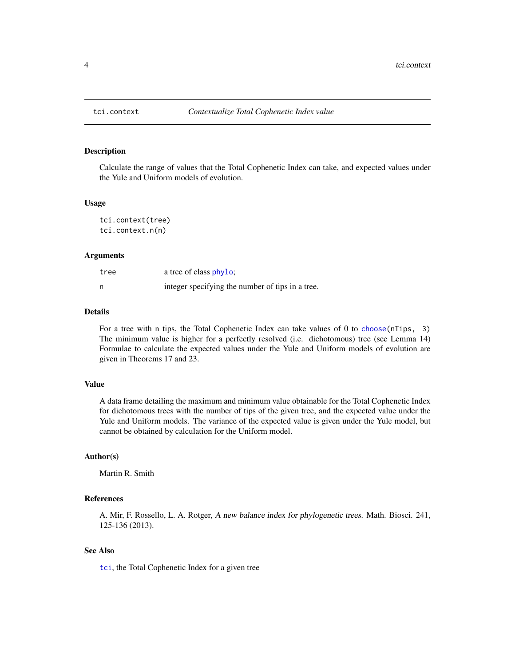<span id="page-3-1"></span><span id="page-3-0"></span>

#### Description

Calculate the range of values that the Total Cophenetic Index can take, and expected values under the Yule and Uniform models of evolution.

#### Usage

```
tci.context(tree)
tci.context.n(n)
```
#### Arguments

| tree | a tree of class phylo;                           |
|------|--------------------------------------------------|
| n    | integer specifying the number of tips in a tree. |

#### Details

For a tree with n tips, the Total Cophenetic Index can take values of 0 to [choose\(](#page-0-0)nTips, 3) The minimum value is higher for a perfectly resolved (i.e. dichotomous) tree (see Lemma 14) Formulae to calculate the expected values under the Yule and Uniform models of evolution are given in Theorems 17 and 23.

#### Value

A data frame detailing the maximum and minimum value obtainable for the Total Cophenetic Index for dichotomous trees with the number of tips of the given tree, and the expected value under the Yule and Uniform models. The variance of the expected value is given under the Yule model, but cannot be obtained by calculation for the Uniform model.

#### Author(s)

Martin R. Smith

#### References

A. Mir, F. Rossello, L. A. Rotger, A new balance index for phylogenetic trees. Math. Biosci. 241, 125-136 (2013).

#### See Also

[tci](#page-2-1), the Total Cophenetic Index for a given tree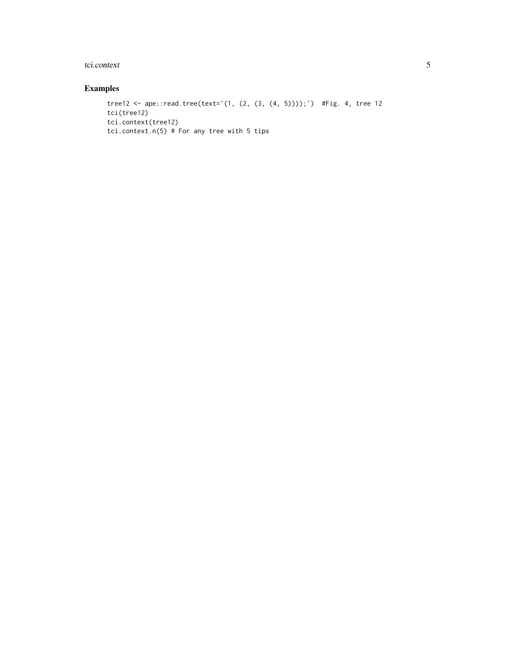#### tci.context 5

#### Examples

```
tree12 <- ape::read.tree(text='(1, (2, (3, (4, 5))));') #Fig. 4, tree 12
tci(tree12)
tci.context(tree12)
tci.context.n(5) # For any tree with 5 tips
```